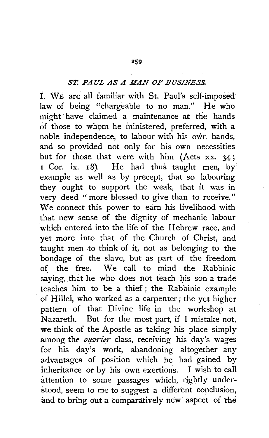## *ST. PAUL AS A MAN OF BUSINESS.*

1. WE are all familiar with St. Paul's self-imposedlaw of being "chargeable to no man." He who might have claimed a maintenance at the hands of those to whom he ministered, preferred, with a noble independence, to labour with his own hands, and so provided not only for his own necessities but for those that were with him (Acts xx. 34;<br>1 Cor. ix. 18). He had thus taught men, by He had thus taught men, by example as well as by precept, that so labouring they ought to support the weak, that it was in very deed " more blessed to give than to receive." We connect this power to earn his livelihood with that new sense of the dignity of mechanic labour which entered into the life of the Hebrew race, and yet more into that of the Church of Christ, and taught men to think of it, not as belonging to the bondage of the slave, but as part of the freedom of the free. We call to mind the Rabbinic saying, that he who does not teach his son a trade teaches him to be a thief ; the Rabbinic example of Hillel, who worked as a carpenter; the yet higher pattern of that Divine life in the workshop at Nazareth. But for the most part, if I mistake not, we think of the Apostle as taking his place simply among the *ouvrier* class, receiving his day's wages for his day's work, abandoning altogether any advantages of position which he had gained by inheritance or by his own exertions, I wish to call attention to some passages which, rightly understood, seem to me to suggest a different conclusion, and to bring out a comparatively new aspect of the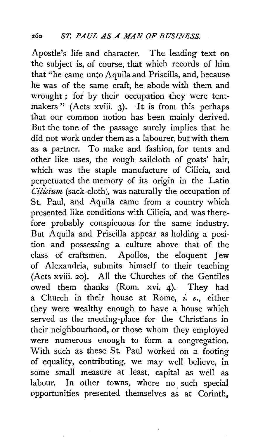Apostle's life and character. The leading text on the subject is, of course, that which records of him that "he came unto Aquila and Priscilla, and, because he was of the same craft, he abode with them and wrought ; for by their occupation they were tentmakers" (Acts xviii. 3). It is from this perhaps that our common notion has been mainly derived. But the tone of the passage surely implies that he did not work under them as a labourer, but with them as a partner. To make and fashion, for tents and other like uses, the rough sailcloth of goats' hair, which was the staple manufacture of Cilicia, and perpetuated the memory of its origin in the Latin *C£licium* (sack-cloth), was naturally the occupation of St. Paul, and Aquila came from a country which presented like conditions with Cilicia, and was therefore probably conspicuous for the same industry. But Aquila and Priscilla appear as holding a position and possessing a culture above that of the class of craftsmen. Apollos, the eloquent Jew of Alexandria, submits himself to their teaching (Acts xviii. 20). All the Churches of the Gentiles owed them thanks (Rom. xvi. 4). They had a Church in their house at Rome, *z: e.,* either they were wealthy enough to have a house which served as the meeting-place for the Christians in their neighbourhood, or those whom they employed were numerous enough to form a congregation. With such as these St. Paul worked on a footing of equality, contributing, we may well believe, in some small measure at least, capital as well as labour. In other towns, where no such special opportunities presented themselves as at Corinth,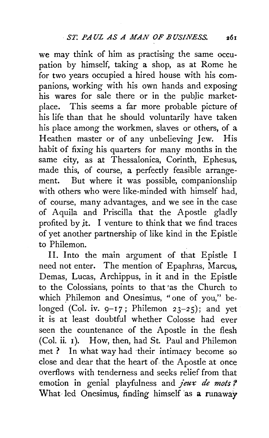we may think of him as practising the same occupation by himself, taking a shop, as at Rome he for two years occupied a hired house with his companions, working with his own hands and exposing his wares for sale there or in the public marketplace. This seems a far more probable picture of his life than that he should voluntarily have taken his place among the workmen, slaves or others, of a Heathen master or of any unbelieving Jew. His habit of fixing his quarters for many months in the same city, as at Thessalonica, Corinth, Ephesus, made this, of course, a perfectly feasible arrangement. But where it was possible, companionship with others who were like-minded with himself had, of course, many advantages, and we see in the case of Aquila and Priscilla that the Apostle gladly profited by jt. I venture to think that we find traces of yet another partnership of like kind in the Epistle to Philemon.

11. Into the main argument of that Epistle I need not enter. The mention of Epaphras, Marcus, Demas, Lucas, Archippus, in it and in the Epistle to the Colossians, points to that 'as the Church to which Philemon and Onesimus, "one of you," belonged (Col. iv.  $9-17$ ; Philemon  $23-25$ ); and yet it is at least doubtful whether Colosse had ever seen the countenance of the Apostle in the flesh (Col. ii. 1). How, then, had St. Paul and Philemon met ? In what way had ·their intimacy become so close and dear that the heart of. the Apostle at once overflows with tenderness and seeks relief from that emotion in genial playfulness and *jeux de mots?* What led Onesimus, finding himself as a runaway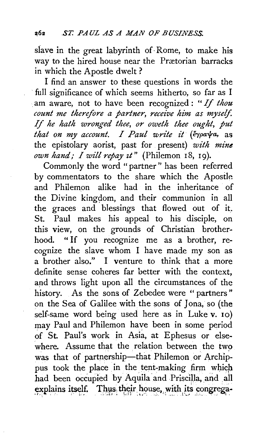slave in the great labyrinth of· Rome, to make his way to the hired house near the Prætorian barracks in which the Apostle dwelt ?

I find an answer to these questions in words the ·full significance of which seems hitherto, so far as I . am aware, not to have been recognized : " If *thou count me therefore a partner, receive him as myself. If he hath wronged thee, or oweth thee ought, put that on my account. I Paul write it (έγραψα*, as the epistolary aorist, past for present) *with mine own hand,- I will repay zt"* (Philemon 18, 19).

Commonly the word "partner" has been referred by commentators to the share which the Apostle and Philemon alike had in the inheritance of the Divine kingdom, and their communion in all the graces and blessings that flowed out of it. St. Paul makes his appeal to his disciple, on this view, on the grounds of Christian brotherhood. " If you recognize me as a brother, recognize the slave whom I have made my son as a brother also." I venture to think that a more definite sense coheres far better with the context, and throws light upon all the circumstances of the history. As the sons of Zebedee were " partners" on the Sea of Galilee with the sons of Jona, so (the self-same word being used here as in Luke v. 10) may Paul and Philemon have been in some period of St. Paul's work in Asia, at Ephesus or else where. Assume that the relation between the two was that of partnership-that Philemon or Archippus took the place in the tent-making firm which had been occupied by Aquila and Priscilla, and all explains itself. Thus their house, with its congrega-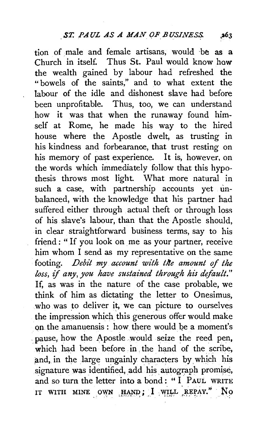tion of male and female artisans, would ·be as a Church in itself. Thus St. Paul would know haw the wealth gained by labour had refreshed the "bowels of the saints," and to what extent the labour of the idle and dishonest slave had before been unprofitable. Thus, too, we can understand how it was that when the runaway found himself at Rome, he made his way to the hired house where the Apostle dwelt, as trusting in his kindness and forbearance, that trust resting on his memory of past experience. It is, however, on the words which immediately follow that this hypothesis throws most light. What more natural in such a case, with partnership accounts yet unbalanced, with the knowledge that his partner had suffered either through actual theft or through loss of his slave's labour, than that the Apostle should, in clear straightforward business terms, say to his friend : "If you look on me as your partner, receive him whom I send as my representative on the same footing. *Debi't my account with tlte amount* of *the loss, if any, you have sustained through his default."*  If, as was in the nature of the case probable, we think of him as dictating the letter to Onesimus, who was to deliver it, we can picture to ourselves the impression which this generous offer would make on the amanuensis : how there would be a moment's . pause, how the Apostle would seize the reed pen, which had been before in the hand of the scribe. and, in the large ungainly characters by which his signature was identified, add his autograph promise, and so turn the letter into a bond : " I PAUL WRITE IT WITH MINE OWN HAND; I WILL REPAY." No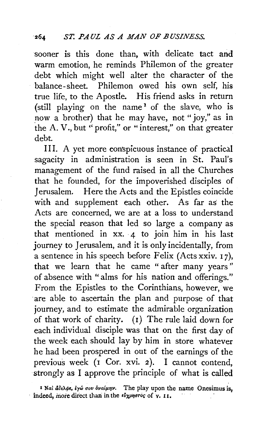sooner is this done than, with delicate tact and warm emotion, he reminds Philemon of the greater debt which might well alter the character of the balance-sheet. Philemon owed his own self, his true life, to the Apostle. His friend asks in return (still playing on the name  $1$  of the slave, who is now a brother) that he may have, not "joy," as in the A. V., but '' profit," or " interest," on that greater debt.

III. A yet more conspicuous instance of practical sagacity in administration is seen in St. Paul's management of the fund raised in all the Churches that he founded, for the impoverished disciples of Jerusalem. Here the Acts and the Epistles coincide with and supplement each other. As far as the Acts are concerned, we are at a loss to understand the special reason that led so large a company as that mentioned in  $xx. 4$  to join him in his last journey to Jerusalem, and it is only incidentally, from a sentence in his speech before Felix (Acts xxiv.  $17$ ), that we learn that he came " after many years " of absence with "alms for his nation and offerings." From the Epistles to the Corinthians, however, we are able to ascertain the plan and purpose of that journey, and to estimate the admirable organization of that work of charity. (I) The rule laid down for each individual disciple was that on the first day of the week each should lay by him in store whatever he had been prospered in out of the earnings of the previous week (I Cor. xvi. 2). I cannot contend, strongly as I approve the principle of what is called

<sup>1</sup> Ναὶ ἄδελφε, έγώ σου όναίμην. The play upon the name Onesimus is,  $\cdot$  indeed, more direct than in the  $\epsilon \nu \gamma \rho \eta \sigma \tau \nu \rho \sigma$  of v. 11.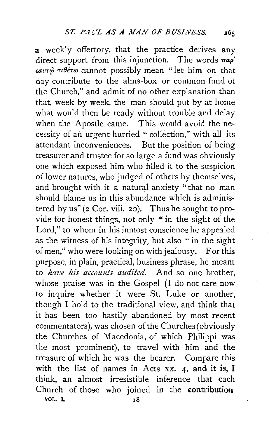a weekly offertory, that the practice derives any direct support from this injunction. The words  $\pi a \rho'$  $\epsilon a v \tau \hat{\varphi}$   $\tau \theta \epsilon \tau \omega$  cannot possibly mean "let him on that day contribute to the alms-box or common fund of the Church," and admit of no other explanation than that, Week by week, the man should put by at home what would then be ready without trouble and delay when the Apostle came. This would avoid the necessity of an urgent hurried " collection," with all its attendant inconveniences. But the position of being treasurer and trustee for so large a fund was obviously one which exposed him who filled it to the suspicion of lower natures, who judged of others by themselves, and brought with it a natural anxiety "that no man should blame us in this abundance which is administered by us" (2 Cor. viii. 20). Thus he sought to provide for honest things, not only " in the sight of the Lord," to whom in his inmost conscience he appealed as the witness of his integrity, but also " in the sight of men," who were looking on with jealousy. For this purpose, in plain, practical, business phrase, he meant to *have his accounts audited.* And so one brother, whose praise was in the Gospel (I do not care now to inquire whether it were St. Luke or another, though I hold to the traditional view, and think that it has been too hastily abandoned by most recent commentators), was chosen of the Churches(obviously the Churches of Macedonia, of which Philippi was the most prominent), to travel with him and the treasure of which he was the bearer. Compare this with the list of names in Acts xx. 4, and it is, I think, an almost irresistible inference that each Church of those who joined in the contribution vol. Let  $\overline{18}$